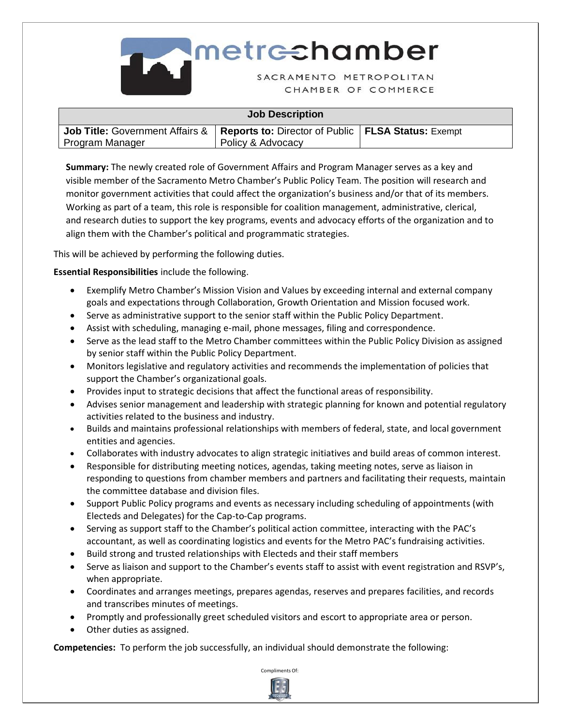

| <b>Job Description</b>                                                                        |                   |  |  |  |  |
|-----------------------------------------------------------------------------------------------|-------------------|--|--|--|--|
| <b>Job Title:</b> Government Affairs &   Reports to: Director of Public   FLSA Status: Exempt |                   |  |  |  |  |
| Program Manager                                                                               | Policy & Advocacy |  |  |  |  |

**Summary:** The newly created role of Government Affairs and Program Manager serves as a key and visible member of the Sacramento Metro Chamber's Public Policy Team. The position will research and monitor government activities that could affect the organization's business and/or that of its members. Working as part of a team, this role is responsible for coalition management, administrative, clerical, and research duties to support the key programs, events and advocacy efforts of the organization and to align them with the Chamber's political and programmatic strategies.

This will be achieved by performing the following duties.

**Essential Responsibilities** include the following.

- Exemplify Metro Chamber's Mission Vision and Values by exceeding internal and external company goals and expectations through Collaboration, Growth Orientation and Mission focused work.
- Serve as administrative support to the senior staff within the Public Policy Department.
- Assist with scheduling, managing e-mail, phone messages, filing and correspondence.
- Serve as the lead staff to the Metro Chamber committees within the Public Policy Division as assigned by senior staff within the Public Policy Department.
- Monitors legislative and regulatory activities and recommends the implementation of policies that support the Chamber's organizational goals.
- Provides input to strategic decisions that affect the functional areas of responsibility.
- Advises senior management and leadership with strategic planning for known and potential regulatory activities related to the business and industry.
- Builds and maintains professional relationships with members of federal, state, and local government entities and agencies.
- Collaborates with industry advocates to align strategic initiatives and build areas of common interest.
- Responsible for distributing meeting notices, agendas, taking meeting notes, serve as liaison in responding to questions from chamber members and partners and facilitating their requests, maintain the committee database and division files.
- Support Public Policy programs and events as necessary including scheduling of appointments (with Electeds and Delegates) for the Cap-to-Cap programs.
- Serving as support staff to the Chamber's political action committee, interacting with the PAC's accountant, as well as coordinating logistics and events for the Metro PAC's fundraising activities.
- Build strong and trusted relationships with Electeds and their staff members
- Serve as liaison and support to the Chamber's events staff to assist with event registration and RSVP's, when appropriate.
- Coordinates and arranges meetings, prepares agendas, reserves and prepares facilities, and records and transcribes minutes of meetings.
- Promptly and professionally greet scheduled visitors and escort to appropriate area or person.
- Other duties as assigned.

**Competencies:** To perform the job successfully, an individual should demonstrate the following:



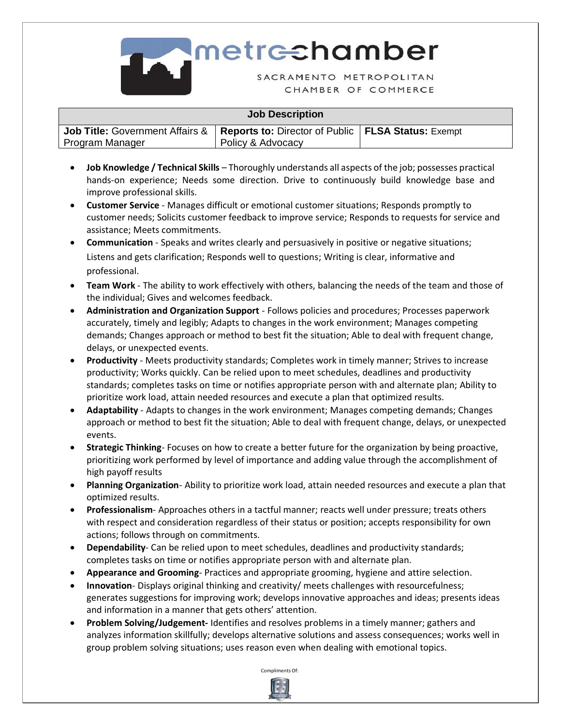

## **Job Description Job Title:** Government Affairs & Program Manager **Reports to:** Director of Public **FLSA Status:** Exempt Policy & Advocacy

- **Job Knowledge / Technical Skills** Thoroughly understands all aspects of the job; possesses practical hands-on experience; Needs some direction. Drive to continuously build knowledge base and improve professional skills.
- **Customer Service** Manages difficult or emotional customer situations; Responds promptly to customer needs; Solicits customer feedback to improve service; Responds to requests for service and assistance; Meets commitments.
- **Communication** Speaks and writes clearly and persuasively in positive or negative situations; Listens and gets clarification; Responds well to questions; Writing is clear, informative and professional.
- **Team Work** The ability to work effectively with others, balancing the needs of the team and those of the individual; Gives and welcomes feedback.
- **Administration and Organization Support** Follows policies and procedures; Processes paperwork accurately, timely and legibly; Adapts to changes in the work environment; Manages competing demands; Changes approach or method to best fit the situation; Able to deal with frequent change, delays, or unexpected events.
- **Productivity** Meets productivity standards; Completes work in timely manner; Strives to increase productivity; Works quickly. Can be relied upon to meet schedules, deadlines and productivity standards; completes tasks on time or notifies appropriate person with and alternate plan; Ability to prioritize work load, attain needed resources and execute a plan that optimized results.
- **Adaptability**  Adapts to changes in the work environment; Manages competing demands; Changes approach or method to best fit the situation; Able to deal with frequent change, delays, or unexpected events.
- **Strategic Thinking** Focuses on how to create a better future for the organization by being proactive, prioritizing work performed by level of importance and adding value through the accomplishment of high payoff results
- **Planning Organization** Ability to prioritize work load, attain needed resources and execute a plan that optimized results.
- **Professionalism** Approaches others in a tactful manner; reacts well under pressure; treats others with respect and consideration regardless of their status or position; accepts responsibility for own actions; follows through on commitments.
- **Dependability** Can be relied upon to meet schedules, deadlines and productivity standards; completes tasks on time or notifies appropriate person with and alternate plan.
- **Appearance and Grooming** Practices and appropriate grooming, hygiene and attire selection.
- **Innovation** Displays original thinking and creativity/ meets challenges with resourcefulness; generates suggestions for improving work; develops innovative approaches and ideas; presents ideas and information in a manner that gets others' attention.
- **Problem Solving/Judgement-** Identifies and resolves problems in a timely manner; gathers and analyzes information skillfully; develops alternative solutions and assess consequences; works well in group problem solving situations; uses reason even when dealing with emotional topics.

Compliments Of: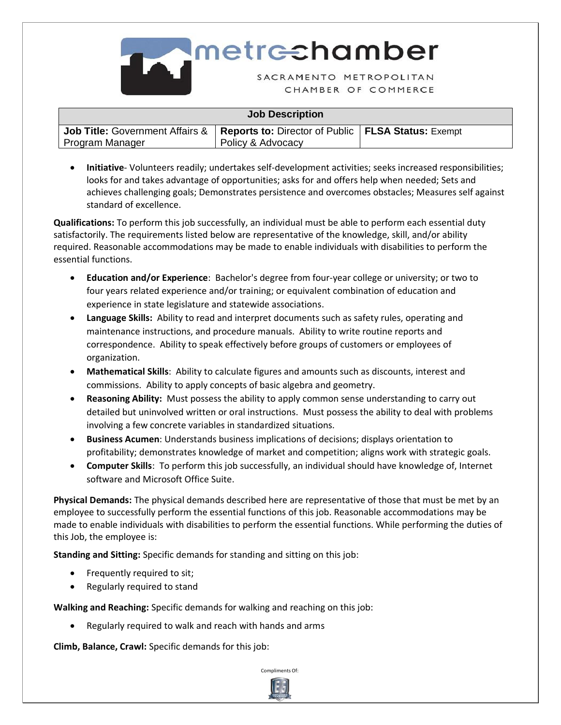

| <b>Job Description</b>                     |                                                             |  |  |  |
|--------------------------------------------|-------------------------------------------------------------|--|--|--|
| <b>Job Title: Government Affairs &amp;</b> | <b>Reports to: Director of Public   FLSA Status: Exempt</b> |  |  |  |
| Program Manager                            | Policy & Advocacy                                           |  |  |  |

• **Initiative**- Volunteers readily; undertakes self-development activities; seeks increased responsibilities; looks for and takes advantage of opportunities; asks for and offers help when needed; Sets and achieves challenging goals; Demonstrates persistence and overcomes obstacles; Measures self against standard of excellence.

**Qualifications:** To perform this job successfully, an individual must be able to perform each essential duty satisfactorily. The requirements listed below are representative of the knowledge, skill, and/or ability required. Reasonable accommodations may be made to enable individuals with disabilities to perform the essential functions.

- **Education and/or Experience**: Bachelor's degree from four-year college or university; or two to four years related experience and/or training; or equivalent combination of education and experience in state legislature and statewide associations.
- **Language Skills:** Ability to read and interpret documents such as safety rules, operating and maintenance instructions, and procedure manuals. Ability to write routine reports and correspondence. Ability to speak effectively before groups of customers or employees of organization.
- **Mathematical Skills**: Ability to calculate figures and amounts such as discounts, interest and commissions. Ability to apply concepts of basic algebra and geometry.
- **Reasoning Ability:** Must possess the ability to apply common sense understanding to carry out detailed but uninvolved written or oral instructions. Must possess the ability to deal with problems involving a few concrete variables in standardized situations.
- **Business Acumen**: Understands business implications of decisions; displays orientation to profitability; demonstrates knowledge of market and competition; aligns work with strategic goals.
- **Computer Skills**: To perform this job successfully, an individual should have knowledge of, Internet software and Microsoft Office Suite.

**Physical Demands:** The physical demands described here are representative of those that must be met by an employee to successfully perform the essential functions of this job. Reasonable accommodations may be made to enable individuals with disabilities to perform the essential functions. While performing the duties of this Job, the employee is:

**Standing and Sitting:** Specific demands for standing and sitting on this job:

- Frequently required to sit;
- Regularly required to stand

**Walking and Reaching:** Specific demands for walking and reaching on this job:

• Regularly required to walk and reach with hands and arms

**Climb, Balance, Crawl:** Specific demands for this job:



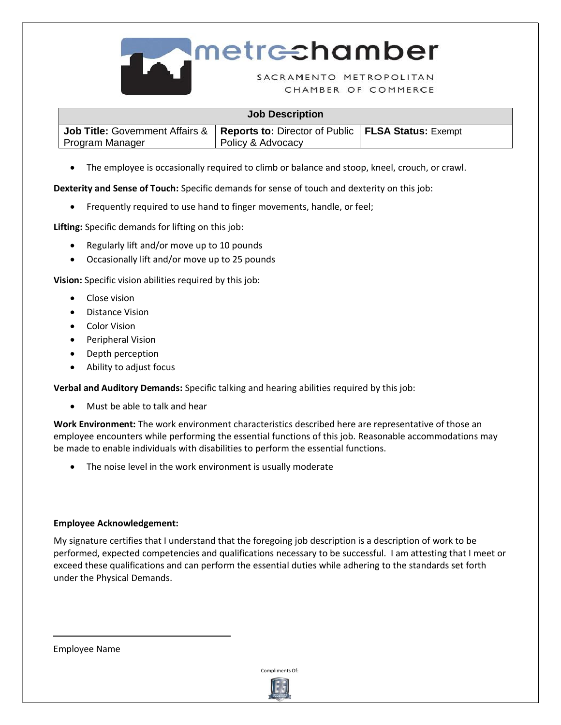

## Metrechamber

CHAMBER OF COMMERCE

| <b>Job Description</b>                                                                                           |                   |  |  |  |  |
|------------------------------------------------------------------------------------------------------------------|-------------------|--|--|--|--|
| <b>Job Title:</b> Government Affairs &   Reports to: Director of Public   FLSA Status: Exempt<br>Program Manager | Policy & Advocacy |  |  |  |  |

• The employee is occasionally required to climb or balance and stoop, kneel, crouch, or crawl.

**Dexterity and Sense of Touch:** Specific demands for sense of touch and dexterity on this job:

• Frequently required to use hand to finger movements, handle, or feel;

**Lifting:** Specific demands for lifting on this job:

- Regularly lift and/or move up to 10 pounds
- Occasionally lift and/or move up to 25 pounds

**Vision:** Specific vision abilities required by this job:

- Close vision
- Distance Vision
- Color Vision
- Peripheral Vision
- Depth perception
- Ability to adjust focus

**Verbal and Auditory Demands:** Specific talking and hearing abilities required by this job:

• Must be able to talk and hear

**Work Environment:** The work environment characteristics described here are representative of those an employee encounters while performing the essential functions of this job. Reasonable accommodations may be made to enable individuals with disabilities to perform the essential functions.

• The noise level in the work environment is usually moderate

## **Employee Acknowledgement:**

My signature certifies that I understand that the foregoing job description is a description of work to be performed, expected competencies and qualifications necessary to be successful. I am attesting that I meet or exceed these qualifications and can perform the essential duties while adhering to the standards set forth under the Physical Demands.

Employee Name

 $\overline{a}$